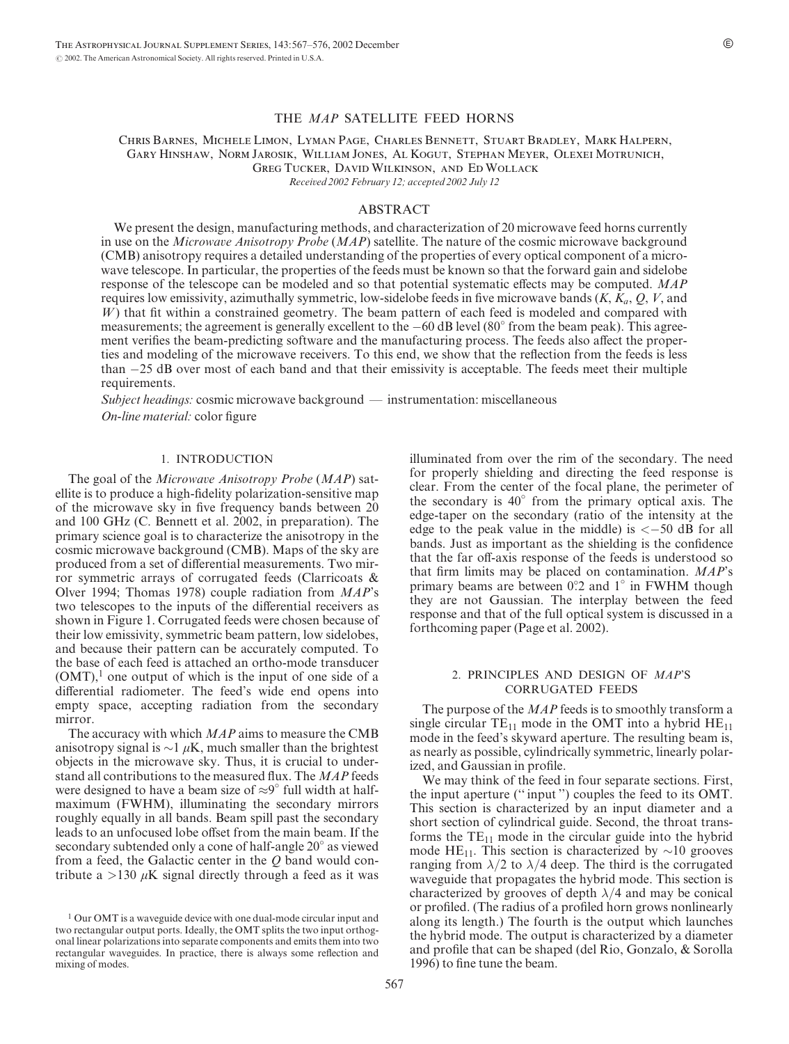### THE MAP SATELLITE FEED HORNS

Chris Barnes, Michele Limon, Lyman Page, Charles Bennett, Stuart Bradley, Mark Halpern, Gary Hinshaw, Norm Jarosik, William Jones, Al Kogut, Stephan Meyer, Olexei Motrunich, Greg Tucker, David Wilkinson, and Ed Wollack Received 2002 February 12; accepted 2002 July 12

#### ABSTRACT

We present the design, manufacturing methods, and characterization of 20 microwave feed horns currently in use on the *Microwave Anisotropy Probe* (*MAP*) satellite. The nature of the cosmic microwave background (CMB) anisotropy requires a detailed understanding of the properties of every optical component of a microwave telescope. In particular, the properties of the feeds must be known so that the forward gain and sidelobe response of the telescope can be modeled and so that potential systematic effects may be computed. MAP requires low emissivity, azimuthally symmetric, low-sidelobe feeds in five microwave bands  $(K, K_a, Q, V,$  and  $W$ ) that fit within a constrained geometry. The beam pattern of each feed is modeled and compared with measurements; the agreement is generally excellent to the  $-60$  dB level (80 $^{\circ}$  from the beam peak). This agreement verifies the beam-predicting software and the manufacturing process. The feeds also affect the properties and modeling of the microwave receivers. To this end, we show that the reflection from the feeds is less than 25 dB over most of each band and that their emissivity is acceptable. The feeds meet their multiple requirements.

Subject headings: cosmic microwave background — instrumentation: miscellaneous On-line material: color figure

## 1. INTRODUCTION

The goal of the *Microwave Anisotropy Probe* (*MAP*) satellite is to produce a high-fidelity polarization-sensitive map of the microwave sky in five frequency bands between 20 and 100 GHz (C. Bennett et al. 2002, in preparation). The primary science goal is to characterize the anisotropy in the cosmic microwave background (CMB). Maps of the sky are produced from a set of differential measurements. Two mirror symmetric arrays of corrugated feeds (Clarricoats & Olver 1994; Thomas 1978) couple radiation from MAP's two telescopes to the inputs of the differential receivers as shown in Figure 1. Corrugated feeds were chosen because of their low emissivity, symmetric beam pattern, low sidelobes, and because their pattern can be accurately computed. To the base of each feed is attached an ortho-mode transducer  $(OMT)$ , one output of which is the input of one side of a differential radiometer. The feed's wide end opens into empty space, accepting radiation from the secondary mirror.

The accuracy with which  $MAP$  aims to measure the CMB anisotropy signal is  $\sim$ 1  $\mu$ K, much smaller than the brightest objects in the microwave sky. Thus, it is crucial to understand all contributions to the measured flux. The MAP feeds were designed to have a beam size of  $\approx 9^{\circ}$  full width at halfmaximum (FWHM), illuminating the secondary mirrors roughly equally in all bands. Beam spill past the secondary leads to an unfocused lobe offset from the main beam. If the secondary subtended only a cone of half-angle 20° as viewed from a feed, the Galactic center in the  $Q$  band would contribute a  $>130 \mu K$  signal directly through a feed as it was illuminated from over the rim of the secondary. The need for properly shielding and directing the feed response is clear. From the center of the focal plane, the perimeter of the secondary is  $40^{\circ}$  from the primary optical axis. The edge-taper on the secondary (ratio of the intensity at the edge to the peak value in the middle) is  $\langle -50 \text{ dB} \text{ for all }$ bands. Just as important as the shielding is the confidence that the far off-axis response of the feeds is understood so that firm limits may be placed on contamination. MAP's primary beams are between 0°<sub>2</sub> and 1<sup>°</sup> in FWHM though they are not Gaussian. The interplay between the feed response and that of the full optical system is discussed in a forthcoming paper (Page et al. 2002).

## 2. PRINCIPLES AND DESIGN OF MAP'S CORRUGATED FEEDS

The purpose of the *MAP* feeds is to smoothly transform a single circular  $TE_{11}$  mode in the OMT into a hybrid  $HE_{11}$ mode in the feed's skyward aperture. The resulting beam is, as nearly as possible, cylindrically symmetric, linearly polarized, and Gaussian in profile.

We may think of the feed in four separate sections. First, the input aperture ('' input '') couples the feed to its OMT. This section is characterized by an input diameter and a short section of cylindrical guide. Second, the throat transforms the  $TE_{11}$  mode in the circular guide into the hybrid mode HE<sub>11</sub>. This section is characterized by  $\sim$ 10 grooves ranging from  $\lambda/2$  to  $\lambda/4$  deep. The third is the corrugated waveguide that propagates the hybrid mode. This section is characterized by grooves of depth  $\lambda/4$  and may be conical or profiled. (The radius of a profiled horn grows nonlinearly along its length.) The fourth is the output which launches the hybrid mode. The output is characterized by a diameter and profile that can be shaped (del Rio, Gonzalo, & Sorolla 1996) to fine tune the beam.

<sup>&</sup>lt;sup>1</sup> Our OMT is a waveguide device with one dual-mode circular input and two rectangular output ports. Ideally, the OMT splits the two input orthogonal linear polarizations into separate components and emits them into two rectangular waveguides. In practice, there is always some reflection and mixing of modes.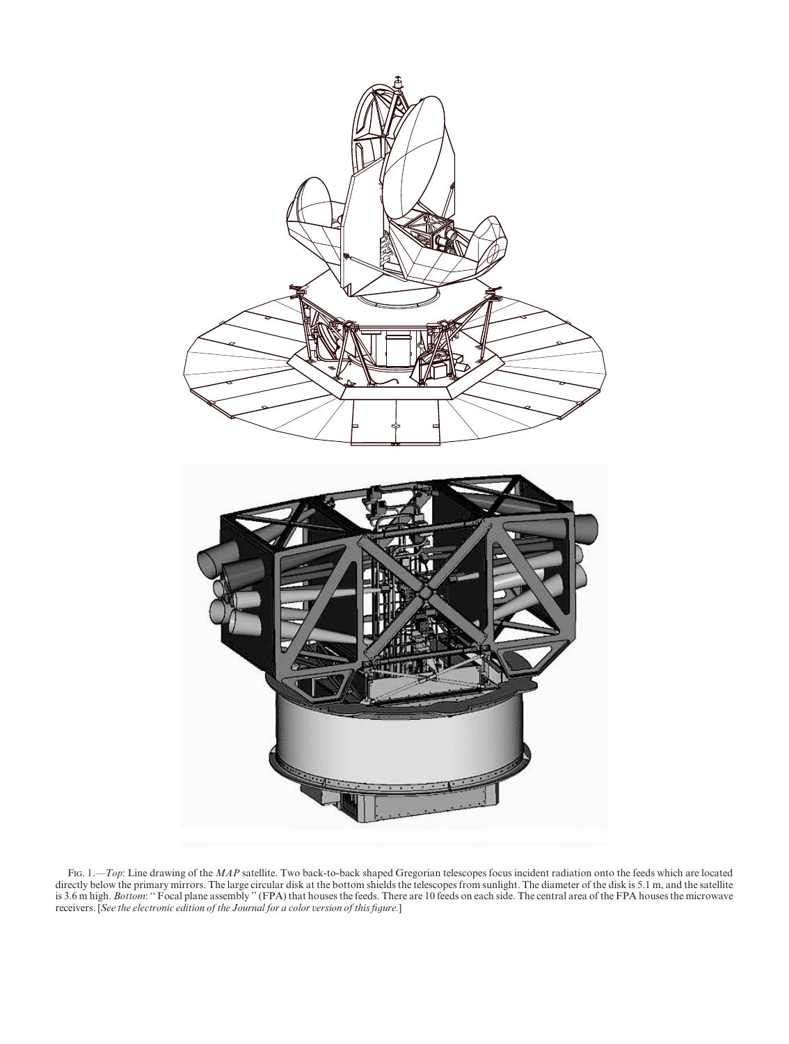

FIG. 1.—Top: Line drawing of the MAP satellite. Two back-to-back shaped Gregorian telescopes focus incident radiation onto the feeds which are located directly below the primary mirrors. The large circular disk at the bottom shields the telescopes from sunlight. The diameter of the disk is 5.1 m, and the satellite is 3.6 m high. Bottom: "Focal plane assembly" (FPA) that houses the feeds. There are 10 feeds on each side. The central area of the FPA houses the microwave receivers. [See the electronic edition of the Journal for a color version of this figure.]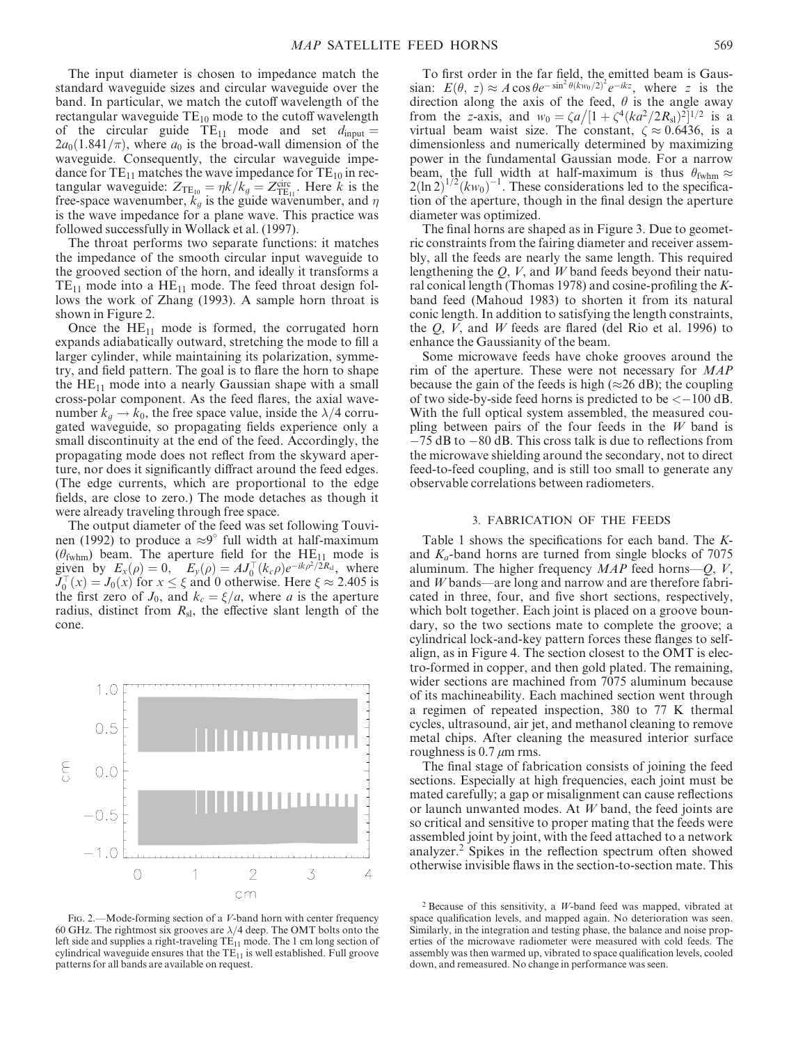The input diameter is chosen to impedance match the standard waveguide sizes and circular waveguide over the band. In particular, we match the cutoff wavelength of the rectangular waveguide  $TE_{10}$  mode to the cutoff wavelength of the circular guide  $TE_{11}$  mode and set  $d_{input} =$  $2a_0(1.841/\pi)$ , where  $a_0$  is the broad-wall dimension of the waveguide. Consequently, the circular waveguide impedance for  $TE_{11}$  matches the wave impedance for  $TE_{10}$  in rectangular waveguide:  $Z_{\text{TE}_{10}} = \eta k / k_g = Z_{\text{TE}_{11}}^{\text{circ}}$ . Here k is the free-space wavenumber,  $k_g$  is the guide wavenumber, and  $\eta$ is the wave impedance for a plane wave. This practice was followed successfully in Wollack et al. (1997).

The throat performs two separate functions: it matches the impedance of the smooth circular input waveguide to the grooved section of the horn, and ideally it transforms a  $TE_{11}$  mode into a  $HE_{11}$  mode. The feed throat design follows the work of Zhang (1993). A sample horn throat is shown in Figure 2.

Once the  $HE_{11}$  mode is formed, the corrugated horn expands adiabatically outward, stretching the mode to fill a larger cylinder, while maintaining its polarization, symmetry, and field pattern. The goal is to flare the horn to shape the  $HE_{11}$  mode into a nearly Gaussian shape with a small cross-polar component. As the feed flares, the axial wavenumber  $k_q \rightarrow k_0$ , the free space value, inside the  $\lambda/4$  corrugated waveguide, so propagating fields experience only a small discontinuity at the end of the feed. Accordingly, the propagating mode does not reflect from the skyward aperture, nor does it significantly diffract around the feed edges. (The edge currents, which are proportional to the edge fields, are close to zero.) The mode detaches as though it were already traveling through free space.

The output diameter of the feed was set following Touvinen (1992) to produce a  $\approx 9^{\circ}$  full width at half-maximum  $(\theta_{\text{fwhm}})$  beam. The aperture field for the HE<sub>11</sub> mode is given by  $E_x(\rho) = 0$ ,  $E_y(\rho) = AJ_0^T(k_c\rho)e^{-ik\rho^2/2R_s}$ , where  $J_0^{\top}(x) = J_0(x)$  for  $x \le \xi$  and 0 otherwise. Here  $\xi \approx 2.405$  is the first zero of  $J_0$ , and  $k_c = \xi/a$ , where a is the aperture radius, distinct from  $R_{sl}$ , the effective slant length of the cone.



FIG. 2.—Mode-forming section of a V-band horn with center frequency 60 GHz. The rightmost six grooves are  $\lambda/4$  deep. The OMT bolts onto the left side and supplies a right-traveling  $TE_{11}$  mode. The 1 cm long section of cylindrical waveguide ensures that the  $TE_{11}$  is well established. Full groove patterns for all bands are available on request.

To first order in the far field, the emitted beam is Gaussian:  $E(\theta, z) \approx A \cos \theta e^{-\sin^2 \theta (k w_0/2)^2} e^{-ikz}$ , where z is the direction along the axis of the feed,  $\theta$  is the angle away from the z-axis, and  $w_0 = \frac{\zeta a}{[1 + \zeta^4 (ka^2 / 2R_{sl})^2]^{1/2}}$  is a virtual beam waist size. The constant,  $\zeta \approx 0.6436$ , is a dimensionless and numerically determined by maximizing power in the fundamental Gaussian mode. For a narrow beam, the full width at half-maximum is thus  $\theta_{\text{fwhm}} \approx$  $2(\ln 2)^{1/2}(kw_0)^{-1}$ . These considerations led to the specification of the aperture, though in the final design the aperture diameter was optimized.

The final horns are shaped as in Figure 3. Due to geometric constraints from the fairing diameter and receiver assembly, all the feeds are nearly the same length. This required lengthening the  $Q$ ,  $V$ , and  $W$  band feeds beyond their natural conical length (Thomas 1978) and cosine-profiling the Kband feed (Mahoud 1983) to shorten it from its natural conic length. In addition to satisfying the length constraints, the  $Q$ ,  $V$ , and  $W$  feeds are flared (del Rio et al. 1996) to enhance the Gaussianity of the beam.

Some microwave feeds have choke grooves around the rim of the aperture. These were not necessary for MAP because the gain of the feeds is high ( $\approx$ 26 dB); the coupling of two side-by-side feed horns is predicted to be  $<-100$  dB. With the full optical system assembled, the measured coupling between pairs of the four feeds in the W band is  $-75$  dB to  $-80$  dB. This cross talk is due to reflections from the microwave shielding around the secondary, not to direct feed-to-feed coupling, and is still too small to generate any observable correlations between radiometers.

# 3. FABRICATION OF THE FEEDS

Table 1 shows the specifications for each band. The Kand  $K_a$ -band horns are turned from single blocks of 7075 aluminum. The higher frequency  $MAP$  feed horns— $Q$ ,  $V$ , and W bands—are long and narrow and are therefore fabricated in three, four, and five short sections, respectively, which bolt together. Each joint is placed on a groove boundary, so the two sections mate to complete the groove; a cylindrical lock-and-key pattern forces these flanges to selfalign, as in Figure 4. The section closest to the OMT is electro-formed in copper, and then gold plated. The remaining, wider sections are machined from 7075 aluminum because of its machineability. Each machined section went through a regimen of repeated inspection, 380 to 77 K thermal cycles, ultrasound, air jet, and methanol cleaning to remove metal chips. After cleaning the measured interior surface roughness is 0.7  $\mu$ m rms.

The final stage of fabrication consists of joining the feed sections. Especially at high frequencies, each joint must be mated carefully; a gap or misalignment can cause reflections or launch unwanted modes. At W band, the feed joints are so critical and sensitive to proper mating that the feeds were assembled joint by joint, with the feed attached to a network analyzer.2 Spikes in the reflection spectrum often showed otherwise invisible flaws in the section-to-section mate. This

 $2$  Because of this sensitivity, a *W*-band feed was mapped, vibrated at space qualification levels, and mapped again. No deterioration was seen. Similarly, in the integration and testing phase, the balance and noise properties of the microwave radiometer were measured with cold feeds. The assembly was then warmed up, vibrated to space qualification levels, cooled down, and remeasured. No change in performance was seen.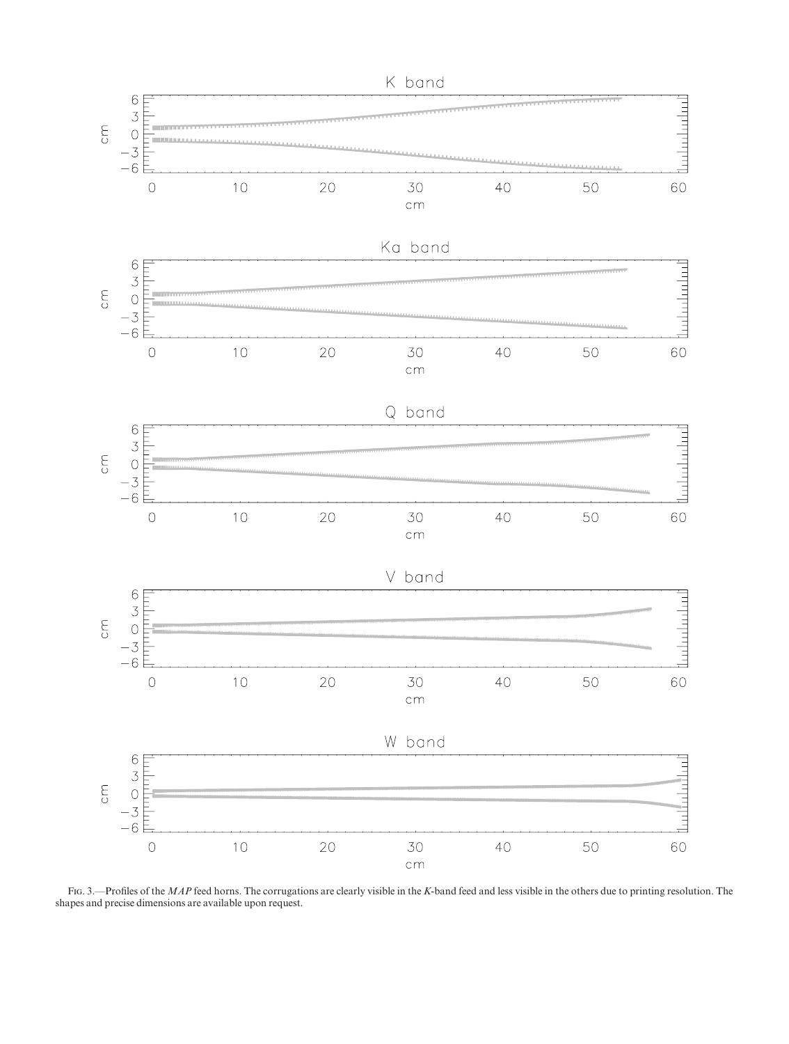

FIG. 3.—Profiles of the MAP feed horns. The corrugations are clearly visible in the K-band feed and less visible in the others due to printing resolution. The shapes and precise dimensions are available upon request.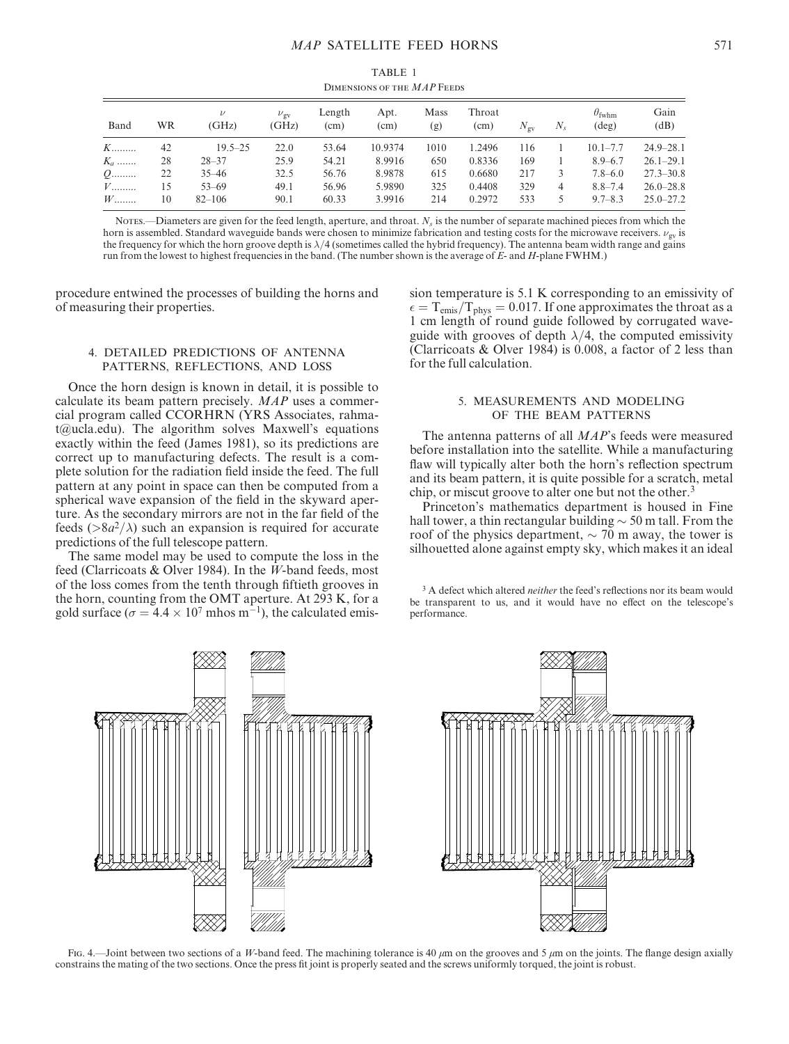| TABLE 1                     |  |
|-----------------------------|--|
| DIMENSIONS OF THE MAP FEEDS |  |

| Band  | WR | $\nu$<br>(GHz) | $\nu_{\rm{ov}}$<br>(GHz) | Length<br>(cm) | Apt.<br>(cm) | Mass<br>(g) | Throat<br>(cm) | $N_{\rm{ov}}$ | $N_{s}$ | $\theta_{\text{fwhm}}$<br>$(\text{deg})$ | Gain<br>(dB)  |
|-------|----|----------------|--------------------------|----------------|--------------|-------------|----------------|---------------|---------|------------------------------------------|---------------|
| $K$   | 42 | $19.5 - 25$    | 22.0                     | 53.64          | 10.9374      | 1010        | 1.2496         | 116           |         | $10.1 - 7.7$                             | $24.9 - 28.1$ |
| $K_a$ | 28 | $28 - 37$      | 25.9                     | 54.21          | 8.9916       | 650         | 0.8336         | 169           |         | $8.9 - 6.7$                              | $26.1 - 29.1$ |
| $Q$   | 22 | $35 - 46$      | 32.5                     | 56.76          | 8.9878       | 615         | 0.6680         | 217           |         | $7.8 - 6.0$                              | $27.3 - 30.8$ |
| $V$   | 15 | $53 - 69$      | 49.1                     | 56.96          | 5.9890       | 325         | 0.4408         | 329           | 4       | $8.8 - 7.4$                              | $26.0 - 28.8$ |
| $W$   | 10 | $82 - 106$     | 90.1                     | 60.33          | 3.9916       | 214         | 0.2972         | 533           |         | $9.7 - 8.3$                              | $25.0 - 27.2$ |

Notes.—Diameters are given for the feed length, aperture, and throat.  $N_s$  is the number of separate machined pieces from which the horn is assembled. Standard waveguide bands were chosen to minimize fabrication and testing costs for the microwave receivers.  $\nu_{\text{gv}}$  is the frequency for which the horn groove depth is  $\lambda/4$  (sometimes called the hybrid frequency). The antenna beam width range and gains run from the lowest to highest frequencies in the band. (The number shown is the average of  $E$ - and  $H$ -plane FWHM.)

procedure entwined the processes of building the horns and of measuring their properties.

### 4. DETAILED PREDICTIONS OF ANTENNA PATTERNS, REFLECTIONS, AND LOSS

Once the horn design is known in detail, it is possible to calculate its beam pattern precisely. MAP uses a commercial program called CCORHRN (YRS Associates, rahmat@ucla.edu). The algorithm solves Maxwell's equations exactly within the feed (James 1981), so its predictions are correct up to manufacturing defects. The result is a complete solution for the radiation field inside the feed. The full pattern at any point in space can then be computed from a spherical wave expansion of the field in the skyward aperture. As the secondary mirrors are not in the far field of the feeds ( $>8a^2/\lambda$ ) such an expansion is required for accurate predictions of the full telescope pattern.

The same model may be used to compute the loss in the feed (Clarricoats & Olver 1984). In the W-band feeds, most of the loss comes from the tenth through fiftieth grooves in the horn, counting from the OMT aperture. At 293 K, for a gold surface ( $\sigma = 4.4 \times 10^7$  mhos m<sup>-1</sup>), the calculated emission temperature is 5.1 K corresponding to an emissivity of  $\epsilon = T_{emis}/T_{phys} = 0.017$ . If one approximates the throat as a 1 cm length of round guide followed by corrugated waveguide with grooves of depth  $\lambda/4$ , the computed emissivity (Clarricoats & Olver 1984) is 0.008, a factor of 2 less than for the full calculation.

## 5. MEASUREMENTS AND MODELING OF THE BEAM PATTERNS

The antenna patterns of all MAP's feeds were measured before installation into the satellite. While a manufacturing flaw will typically alter both the horn's reflection spectrum and its beam pattern, it is quite possible for a scratch, metal chip, or miscut groove to alter one but not the other.<sup>3</sup>

Princeton's mathematics department is housed in Fine hall tower, a thin rectangular building  $\sim$  50 m tall. From the roof of the physics department,  $\sim$  70 m away, the tower is silhouetted alone against empty sky, which makes it an ideal

<sup>3</sup> A defect which altered *neither* the feed's reflections nor its beam would be transparent to us, and it would have no effect on the telescope's performance.



Fig. 4.—Joint between two sections of a W-band feed. The machining tolerance is 40  $\mu$ m on the grooves and 5  $\mu$ m on the joints. The flange design axially constrains the mating of the two sections. Once the press fit joint is properly seated and the screws uniformly torqued, the joint is robust.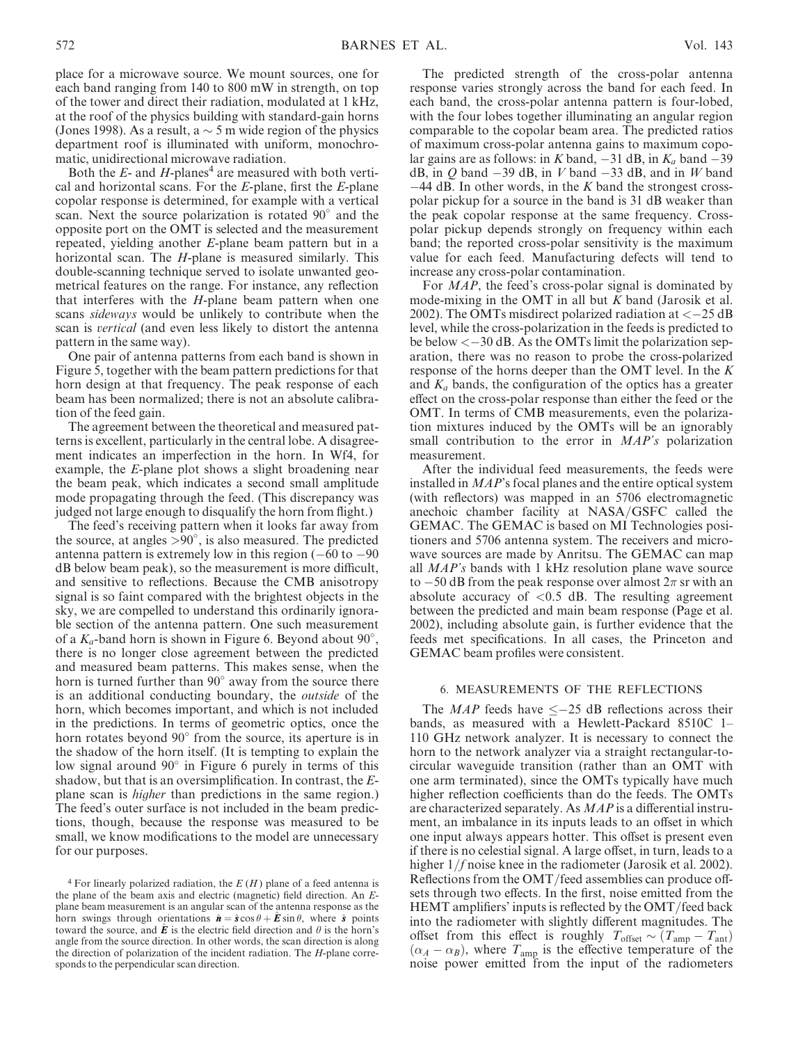place for a microwave source. We mount sources, one for each band ranging from 140 to 800 mW in strength, on top of the tower and direct their radiation, modulated at 1 kHz, at the roof of the physics building with standard-gain horns (Jones 1998). As a result, a  $\sim$  5 m wide region of the physics department roof is illuminated with uniform, monochromatic, unidirectional microwave radiation.

Both the  $E$ - and  $H$ -planes<sup>4</sup> are measured with both vertical and horizontal scans. For the  $E$ -plane, first the  $E$ -plane copolar response is determined, for example with a vertical scan. Next the source polarization is rotated 90° and the opposite port on the OMT is selected and the measurement repeated, yielding another E-plane beam pattern but in a horizontal scan. The H-plane is measured similarly. This double-scanning technique served to isolate unwanted geometrical features on the range. For instance, any reflection that interferes with the  $H$ -plane beam pattern when one scans sideways would be unlikely to contribute when the scan is vertical (and even less likely to distort the antenna pattern in the same way).

One pair of antenna patterns from each band is shown in Figure 5, together with the beam pattern predictions for that horn design at that frequency. The peak response of each beam has been normalized; there is not an absolute calibration of the feed gain.

The agreement between the theoretical and measured patterns is excellent, particularly in the central lobe. A disagreement indicates an imperfection in the horn. In Wf4, for example, the E-plane plot shows a slight broadening near the beam peak, which indicates a second small amplitude mode propagating through the feed. (This discrepancy was judged not large enough to disqualify the horn from flight.)

The feed's receiving pattern when it looks far away from the source, at angles  $> 90^\circ$ , is also measured. The predicted antenna pattern is extremely low in this region  $(-60 \text{ to } -90)$ dB below beam peak), so the measurement is more difficult, and sensitive to reflections. Because the CMB anisotropy signal is so faint compared with the brightest objects in the sky, we are compelled to understand this ordinarily ignorable section of the antenna pattern. One such measurement of a  $K_a$ -band horn is shown in Figure 6. Beyond about  $90^\circ$ , there is no longer close agreement between the predicted and measured beam patterns. This makes sense, when the horn is turned further than 90° away from the source there is an additional conducting boundary, the outside of the horn, which becomes important, and which is not included in the predictions. In terms of geometric optics, once the horn rotates beyond 90° from the source, its aperture is in the shadow of the horn itself. (It is tempting to explain the low signal around 90° in Figure 6 purely in terms of this shadow, but that is an oversimplification. In contrast, the Eplane scan is higher than predictions in the same region.) The feed's outer surface is not included in the beam predictions, though, because the response was measured to be small, we know modifications to the model are unnecessary for our purposes.

The predicted strength of the cross-polar antenna response varies strongly across the band for each feed. In each band, the cross-polar antenna pattern is four-lobed, with the four lobes together illuminating an angular region comparable to the copolar beam area. The predicted ratios of maximum cross-polar antenna gains to maximum copolar gains are as follows: in K band,  $-31$  dB, in  $K_a$  band  $-39$ dB, in  $Q$  band  $-39$  dB, in  $V$  band  $-33$  dB, and in  $W$  band  $-44$  dB. In other words, in the K band the strongest crosspolar pickup for a source in the band is 31 dB weaker than the peak copolar response at the same frequency. Crosspolar pickup depends strongly on frequency within each band; the reported cross-polar sensitivity is the maximum value for each feed. Manufacturing defects will tend to increase any cross-polar contamination.

For *MAP*, the feed's cross-polar signal is dominated by mode-mixing in the OMT in all but  $K$  band (Jarosik et al. 2002). The OMTs misdirect polarized radiation at  $<-25$  dB level, while the cross-polarization in the feeds is predicted to be below  $<-30$  dB. As the OMTs limit the polarization separation, there was no reason to probe the cross-polarized response of the horns deeper than the OMT level. In the K and  $K_a$  bands, the configuration of the optics has a greater effect on the cross-polar response than either the feed or the OMT. In terms of CMB measurements, even the polarization mixtures induced by the OMTs will be an ignorably small contribution to the error in  $MAP's$  polarization measurement.

After the individual feed measurements, the feeds were installed in MAP's focal planes and the entire optical system (with reflectors) was mapped in an 5706 electromagnetic anechoic chamber facility at NASA/GSFC called the GEMAC. The GEMAC is based on MI Technologies positioners and 5706 antenna system. The receivers and microwave sources are made by Anritsu. The GEMAC can map all MAP's bands with 1 kHz resolution plane wave source to  $-50$  dB from the peak response over almost  $2\pi$  sr with an absolute accuracy of <0.5 dB. The resulting agreement between the predicted and main beam response (Page et al. 2002), including absolute gain, is further evidence that the feeds met specifications. In all cases, the Princeton and GEMAC beam profiles were consistent.

# 6. MEASUREMENTS OF THE REFLECTIONS

The MAP feeds have  $\leq -25$  dB reflections across their bands, as measured with a Hewlett-Packard 8510C 1– 110 GHz network analyzer. It is necessary to connect the horn to the network analyzer via a straight rectangular-tocircular waveguide transition (rather than an OMT with one arm terminated), since the OMTs typically have much higher reflection coefficients than do the feeds. The OMTs are characterized separately. As MAP is a differential instrument, an imbalance in its inputs leads to an offset in which one input always appears hotter. This offset is present even if there is no celestial signal. A large offset, in turn, leads to a higher  $1/f$  noise knee in the radiometer (Jarosik et al. 2002). Reflections from the OMT/feed assemblies can produce offsets through two effects. In the first, noise emitted from the HEMT amplifiers' inputs is reflected by the OMT/feed back into the radiometer with slightly different magnitudes. The offset from this effect is roughly  $T_{\text{offset}} \sim (T_{\text{amp}} - T_{\text{ant}})$  $(\alpha_A - \alpha_B)$ , where  $T_{\text{amp}}$  is the effective temperature of the noise power emitted from the input of the radiometers

 $4$  For linearly polarized radiation, the  $E(H)$  plane of a feed antenna is the plane of the beam axis and electric (magnetic) field direction. An Eplane beam measurement is an angular scan of the antenna response as the horn swings through orientations  $\hat{\mathbf{n}} = \hat{\mathbf{s}} \cos \theta + \hat{\mathbf{E}} \sin \theta$ , where  $\hat{\mathbf{s}}$  points toward the source, and  $\vec{E}$  is the electric field direction and  $\theta$  is the horn's angle from the source direction. In other words, the scan direction is along the direction of polarization of the incident radiation. The  $H$ -plane corresponds to the perpendicular scan direction.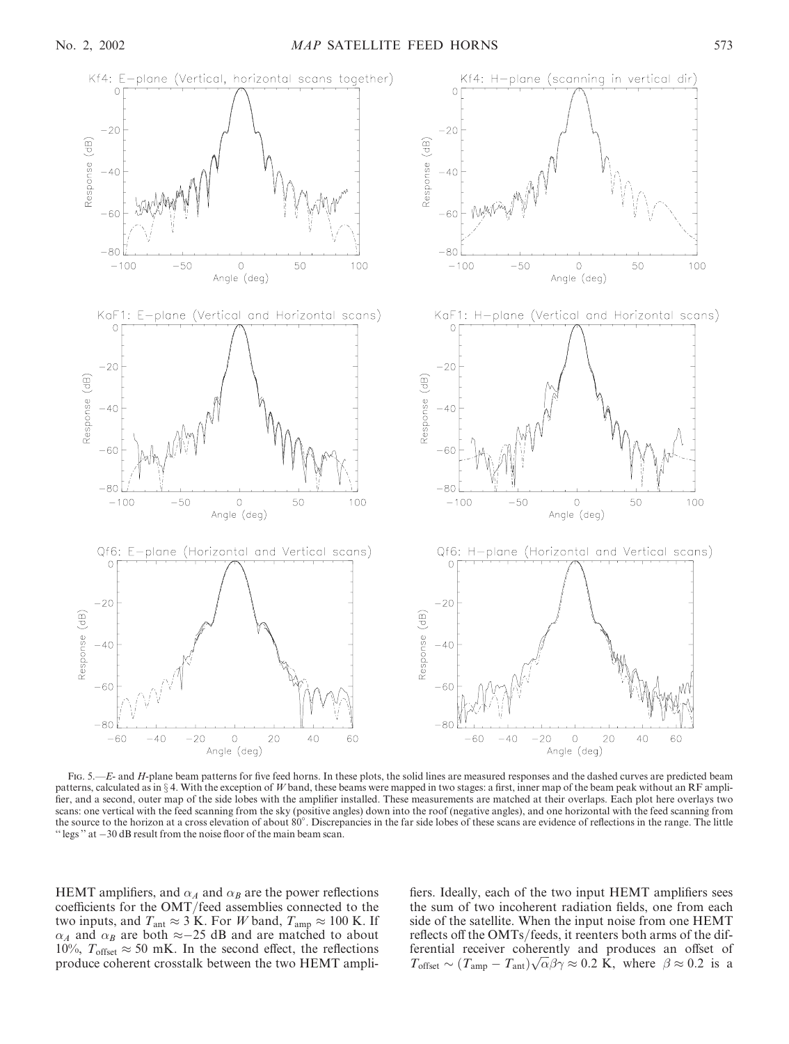

Fig. 5.—E- and H-plane beam patterns for five feed horns. In these plots, the solid lines are measured responses and the dashed curves are predicted beam patterns, calculated as in  $\S$  4. With the exception of W band, these beams were mapped in two stages: a first, inner map of the beam peak without an RF amplifier, and a second, outer map of the side lobes with the amplifier installed. These measurements are matched at their overlaps. Each plot here overlays two scans: one vertical with the feed scanning from the sky (positive angles) down into the roof (negative angles), and one horizontal with the feed scanning from the source to the horizon at a cross elevation of about 80°. Discrepancies in the far side lobes of these scans are evidence of reflections in the range. The little " $\text{legs}$ " at  $-30 \text{ dB}$  result from the noise floor of the main beam scan.

HEMT amplifiers, and  $\alpha_A$  and  $\alpha_B$  are the power reflections coefficients for the OMT/feed assemblies connected to the two inputs, and  $T_{\text{ant}} \approx 3$  K. For W band,  $T_{\text{amp}} \approx 100$  K. If  $\alpha_A$  and  $\alpha_B$  are both  $\approx -25$  dB and are matched to about 10%,  $T_{offset} \approx 50$  mK. In the second effect, the reflections produce coherent crosstalk between the two HEMT amplifiers. Ideally, each of the two input HEMT amplifiers sees the sum of two incoherent radiation fields, one from each side of the satellite. When the input noise from one HEMT reflects off the OMTs/feeds, it reenters both arms of the differential receiver coherently and produces an offset of Fremillar receiver contentity and produces an offset of  $T_{\text{offset}} \sim (T_{\text{amp}} - T_{\text{ant}}) \sqrt{\alpha} \beta \gamma \approx 0.2 \text{ K}$ , where  $\beta \approx 0.2 \text{ is a}$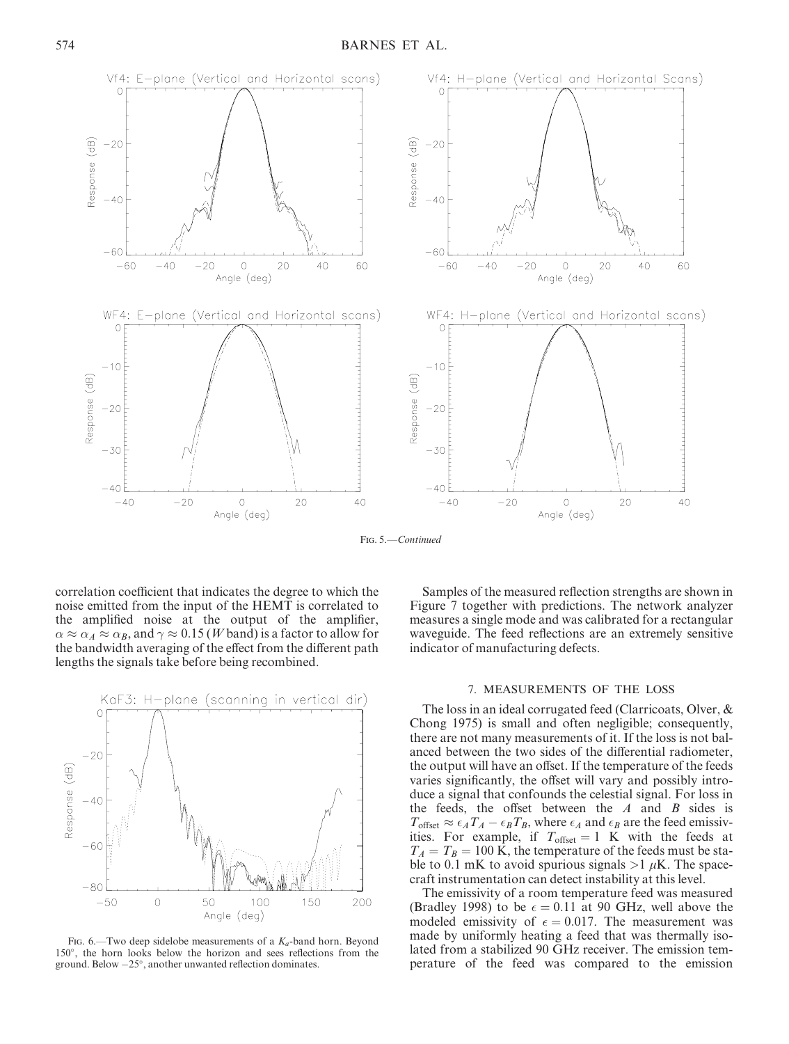

Fig. 5.—Continued

correlation coefficient that indicates the degree to which the noise emitted from the input of the HEMT is correlated to the amplified noise at the output of the amplifier,  $\alpha \approx \alpha_A \approx \alpha_B$ , and  $\gamma \approx 0.15$  (*W* band) is a factor to allow for the bandwidth averaging of the effect from the different path lengths the signals take before being recombined.



FIG. 6.—Two deep sidelobe measurements of a  $K_a$ -band horn. Beyond 150°, the horn looks below the horizon and sees reflections from the ground. Below  $-25^\circ$ , another unwanted reflection dominates.

Samples of the measured reflection strengths are shown in Figure 7 together with predictions. The network analyzer measures a single mode and was calibrated for a rectangular waveguide. The feed reflections are an extremely sensitive indicator of manufacturing defects.

### 7. MEASUREMENTS OF THE LOSS

The loss in an ideal corrugated feed (Clarricoats, Olver, & Chong 1975) is small and often negligible; consequently, there are not many measurements of it. If the loss is not balanced between the two sides of the differential radiometer, the output will have an offset. If the temperature of the feeds varies significantly, the offset will vary and possibly introduce a signal that confounds the celestial signal. For loss in the feeds, the offset between the  $A$  and  $B$  sides is  $T_{\text{offset}} \approx \epsilon_A T_A - \epsilon_B T_B$ , where  $\epsilon_A$  and  $\epsilon_B$  are the feed emissivities. For example, if  $T_{offset} = 1$  K with the feeds at  $T_A = T_B = 100$  K, the temperature of the feeds must be stable to 0.1 mK to avoid spurious signals  $>1 \mu$ K. The spacecraft instrumentation can detect instability at this level.

The emissivity of a room temperature feed was measured (Bradley 1998) to be  $\epsilon = 0.11$  at 90 GHz, well above the modeled emissivity of  $\epsilon = 0.017$ . The measurement was made by uniformly heating a feed that was thermally isolated from a stabilized 90 GHz receiver. The emission temperature of the feed was compared to the emission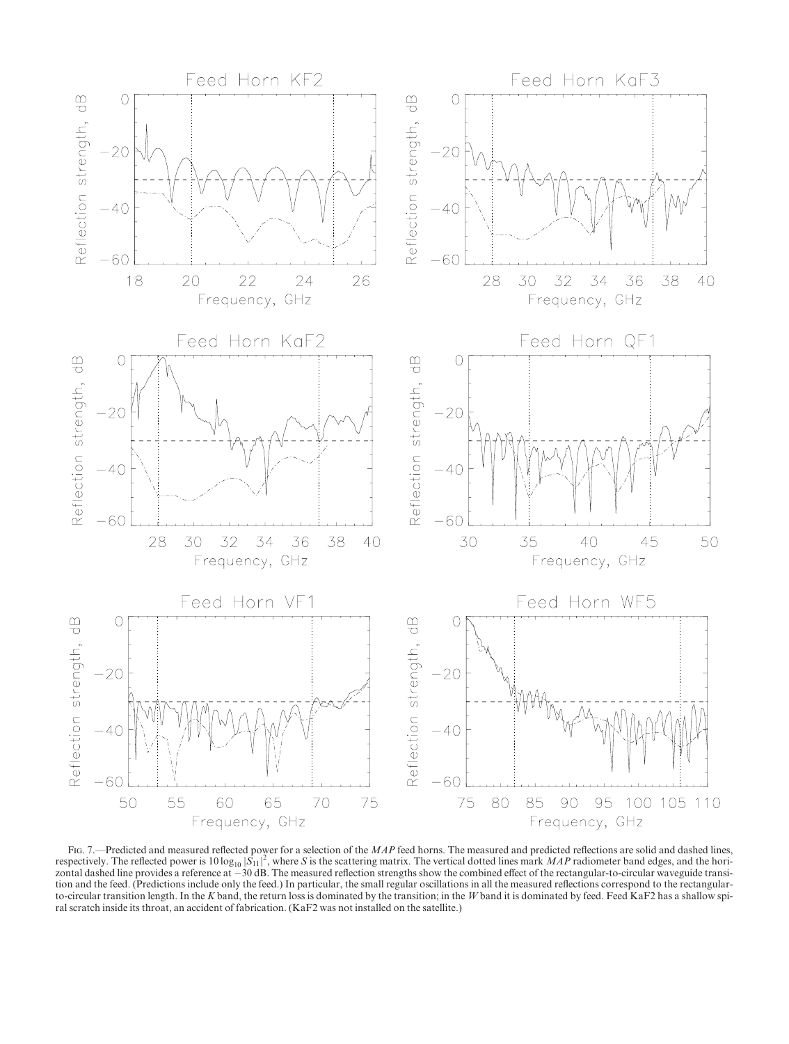

FIG. 7.—Predicted and measured reflected power for a selection of the MAP feed horns. The measured and predicted reflections are solid and dashed lines, respectively. The reflected power is  $10 \log_{10} |\dot{S}_{11}|^2$ , where S is the scattering matrix. The vertical dotted lines mark MAP radiometer band edges, and the horizontal dashed line provides a reference at 30 dB. The measured reflection strengths show the combined effect of the rectangular-to-circular waveguide transition and the feed. (Predictions include only the feed.) In particular, the small regular oscillations in all the measured reflections correspond to the rectangularto-circular transition length. In the K band, the return loss is dominated by the transition; in the W band it is dominated by feed. Feed KaF2 has a shallow spiral scratch inside its throat, an accident of fabrication. (KaF2 was not installed on the satellite.)